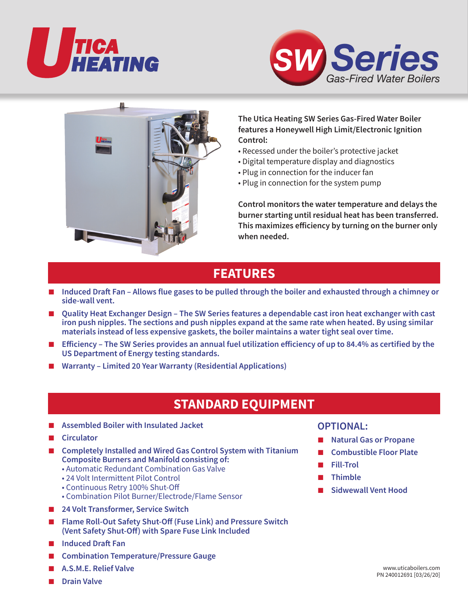





### **The Utica Heating SW Series Gas-Fired Water Boiler features a Honeywell High Limit/Electronic Ignition Control:**

- Recessed under the boiler's protective jacket
- Digital temperature display and diagnostics
- Plug in connection for the inducer fan
- Plug in connection for the system pump

**Control monitors the water temperature and delays the burner starting until residual heat has been transferred. This maximizes efficiency by turning on the burner only when needed.**

## **FEATURES**

- **Induced Draft Fan Allows flue gases to be pulled through the boiler and exhausted through a chimney or side-wall vent.**
- **Quality Heat Exchanger Design The SW Series features a dependable cast iron heat exchanger with cast iron push nipples. The sections and push nipples expand at the same rate when heated. By using similar materials instead of less expensive gaskets, the boiler maintains a water tight seal over time.**
- **Efficiency** The SW Series provides an annual fuel utilization efficiency of up to 84.4% as certified by the **US Department of Energy testing standards.**
- Warranty Limited 20 Year Warranty (Residential Applications)

# **STANDARD EQUIPMENT**

- **Assembled Boiler with Insulated Jacket**
- **Circulator**
- **Completely Installed and Wired Gas Control System with Titanium Composite Burners and Manifold consisting of:**
	- Automatic Redundant Combination Gas Valve
	- 24 Volt Intermittent Pilot Control
	- Continuous Retry 100% Shut-Off
	- Combination Pilot Burner/Electrode/Flame Sensor
- **24 Volt Transformer, Service Switch**
- **Flame Roll-Out Safety Shut-Off (Fuse Link) and Pressure Switch (Vent Safety Shut-Off) with Spare Fuse Link Included**
- **Induced Draft Fan**
- **Combination Temperature/Pressure Gauge**
- **A.S.M.E. Relief Valve**
- **Drain Valve**

### **OPTIONAL:**

- **Natural Gas or Propane**
- **Combustible Floor Plate**
- **Fill-Trol**
- **Thimble**
- **Sidwewall Vent Hood**